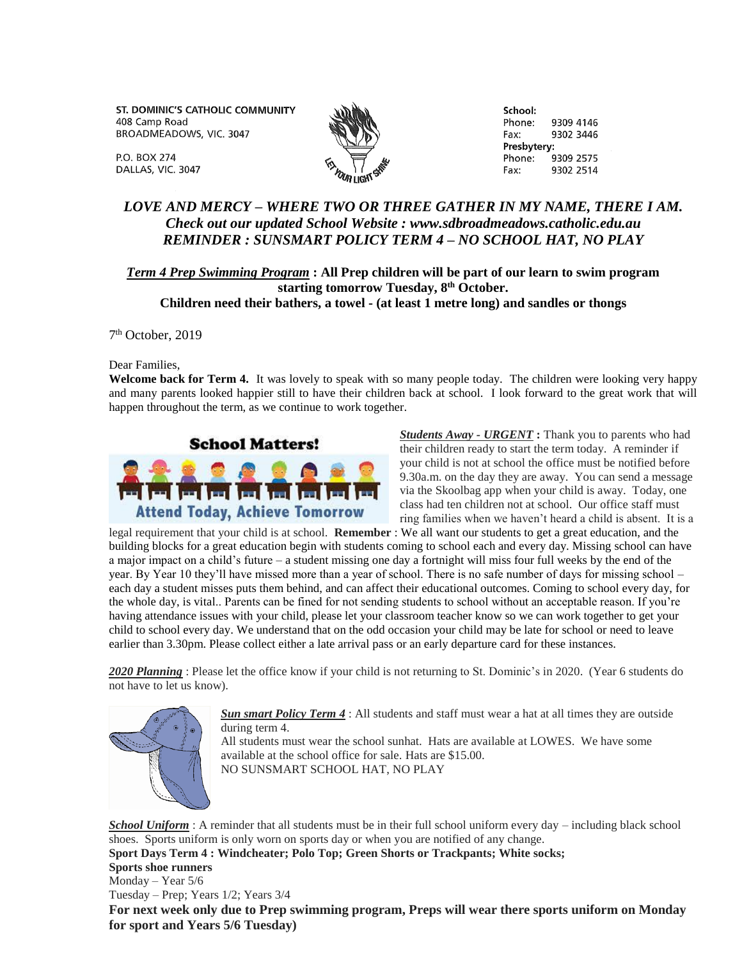ST. DOMINIC'S CATHOLIC COMMUNITY 408 Camp Road BROADMEADOWS, VIC. 3047

School: Phone: 9309 4146 Fax: 9302 3446 Presbytery: Phone: 9309 2575 9302 2514 Fax:

## *LOVE AND MERCY – WHERE TWO OR THREE GATHER IN MY NAME, THERE I AM. Check out our updated School Website : www.sdbroadmeadows.catholic.edu.au REMINDER : SUNSMART POLICY TERM 4 – NO SCHOOL HAT, NO PLAY*

## *Term 4 Prep Swimming Program* **: All Prep children will be part of our learn to swim program starting tomorrow Tuesday, 8th October. Children need their bathers, a towel - (at least 1 metre long) and sandles or thongs**

7 th October, 2019

Dear Families,

**P.O. BOX 274** 

DALLAS, VIC. 3047

**Welcome back for Term 4.** It was lovely to speak with so many people today. The children were looking very happy and many parents looked happier still to have their children back at school. I look forward to the great work that will happen throughout the term, as we continue to work together.



*Students Away - URGENT* **:** Thank you to parents who had their children ready to start the term today. A reminder if your child is not at school the office must be notified before 9.30a.m. on the day they are away. You can send a message via the Skoolbag app when your child is away. Today, one class had ten children not at school. Our office staff must ring families when we haven't heard a child is absent. It is a

legal requirement that your child is at school. **Remember** : We all want our students to get a great education, and the building blocks for a great education begin with students coming to school each and every day. Missing school can have a major impact on a child's future – a student missing one day a fortnight will miss four full weeks by the end of the year. By Year 10 they'll have missed more than a year of school. There is no safe number of days for missing school – each day a student misses puts them behind, and can affect their educational outcomes. Coming to school every day, for the whole day, is vital.. Parents can be fined for not sending students to school without an acceptable reason. If you're having attendance issues with your child, please let your classroom teacher know so we can work together to get your child to school every day. We understand that on the odd occasion your child may be late for school or need to leave earlier than 3.30pm. Please collect either a late arrival pass or an early departure card for these instances.

*2020 Planning* : Please let the office know if your child is not returning to St. Dominic's in 2020. (Year 6 students do not have to let us know).



*Sun smart Policy Term 4* : All students and staff must wear a hat at all times they are outside during term 4.

All students must wear the school sunhat. Hats are available at LOWES. We have some available at the school office for sale. Hats are \$15.00. NO SUNSMART SCHOOL HAT, NO PLAY

*School Uniform* : A reminder that all students must be in their full school uniform every day – including black school shoes. Sports uniform is only worn on sports day or when you are notified of any change. **Sport Days Term 4 : Windcheater; Polo Top; Green Shorts or Trackpants; White socks; Sports shoe runners** Monday – Year 5/6 Tuesday – Prep; Years 1/2; Years 3/4 **For next week only due to Prep swimming program, Preps will wear there sports uniform on Monday for sport and Years 5/6 Tuesday)**